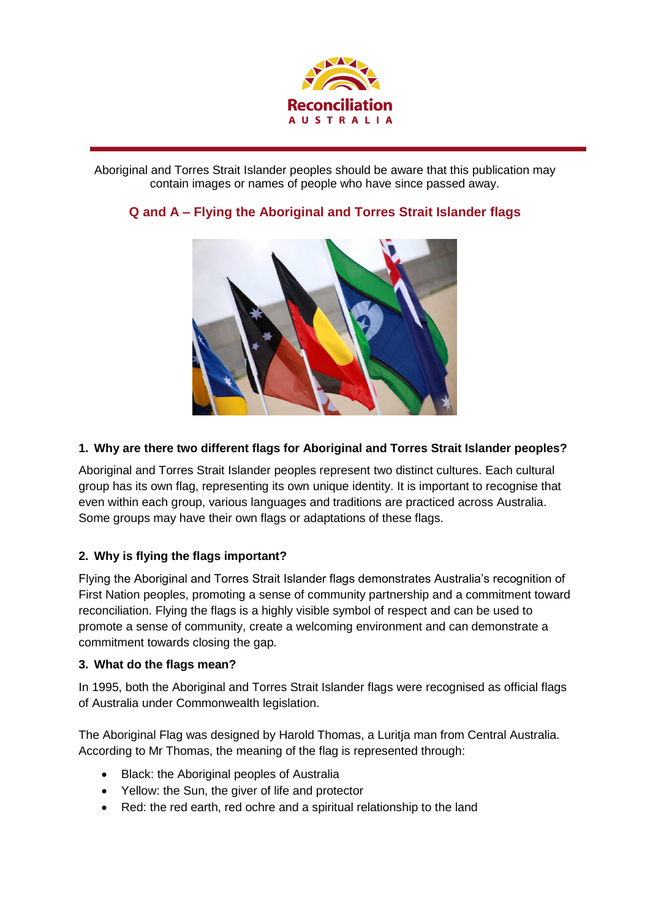

Aboriginal and Torres Strait Islander peoples should be aware that this publication may contain images or names of people who have since passed away.



# **Q and A – Flying the Aboriginal and Torres Strait Islander flags**

## **1. Why are there two different flags for Aboriginal and Torres Strait Islander peoples?**

Aboriginal and Torres Strait Islander peoples represent two distinct cultures. Each cultural group has its own flag, representing its own unique identity. It is important to recognise that even within each group, various languages and traditions are practiced across Australia. Some groups may have their own flags or adaptations of these flags.

# **2. Why is flying the flags important?**

Flying the Aboriginal and Torres Strait Islander flags demonstrates Australia's recognition of First Nation peoples, promoting a sense of community partnership and a commitment toward reconciliation. Flying the flags is a highly visible symbol of respect and can be used to promote a sense of community, create a welcoming environment and can demonstrate a commitment towards closing the gap.

## **3. What do the flags mean?**

In 1995, both the Aboriginal and Torres Strait Islander flags were recognised as official flags of Australia under Commonwealth legislation.

The Aboriginal Flag was designed by Harold Thomas, a Luritja man from Central Australia. According to Mr Thomas, the meaning of the flag is represented through:

- Black: the Aboriginal peoples of Australia
- Yellow: the Sun, the giver of life and protector
- Red: the red earth, red ochre and a spiritual relationship to the land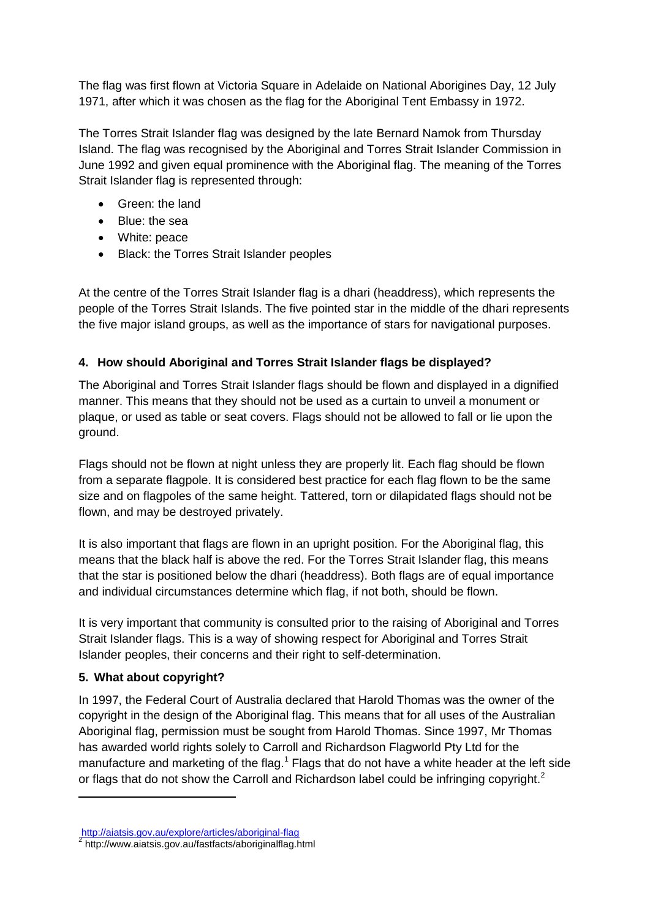The flag was first flown at Victoria Square in Adelaide on National Aborigines Day, 12 July 1971, after which it was chosen as the flag for the Aboriginal Tent Embassy in 1972.

The Torres Strait Islander flag was designed by the late Bernard Namok from Thursday Island. The flag was recognised by the Aboriginal and Torres Strait Islander Commission in June 1992 and given equal prominence with the Aboriginal flag. The meaning of the Torres Strait Islander flag is represented through:

- Green: the land
- Blue: the sea
- White: peace
- Black: the Torres Strait Islander peoples

At the centre of the Torres Strait Islander flag is a dhari (headdress), which represents the people of the Torres Strait Islands. The five pointed star in the middle of the dhari represents the five major island groups, as well as the importance of stars for navigational purposes.

## **4. How should Aboriginal and Torres Strait Islander flags be displayed?**

The Aboriginal and Torres Strait Islander flags should be flown and displayed in a dignified manner. This means that they should not be used as a curtain to unveil a monument or plaque, or used as table or seat covers. Flags should not be allowed to fall or lie upon the ground.

Flags should not be flown at night unless they are properly lit. Each flag should be flown from a separate flagpole. It is considered best practice for each flag flown to be the same size and on flagpoles of the same height. Tattered, torn or dilapidated flags should not be flown, and may be destroyed privately.

It is also important that flags are flown in an upright position. For the Aboriginal flag, this means that the black half is above the red. For the Torres Strait Islander flag, this means that the star is positioned below the dhari (headdress). Both flags are of equal importance and individual circumstances determine which flag, if not both, should be flown.

It is very important that community is consulted prior to the raising of Aboriginal and Torres Strait Islander flags. This is a way of showing respect for Aboriginal and Torres Strait Islander peoples, their concerns and their right to self-determination.

## **5. What about copyright?**

-

In 1997, the Federal Court of Australia declared that Harold Thomas was the owner of the copyright in the design of the Aboriginal flag. This means that for all uses of the Australian Aboriginal flag, permission must be sought from Harold Thomas. Since 1997, Mr Thomas has awarded world rights solely to Carroll and Richardson Flagworld Pty Ltd for the manufacture and marketing of the flag.<sup>1</sup> Flags that do not have a white header at the left side or flags that do not show the Carroll and Richardson label could be infringing copyright.<sup>2</sup>

<http://aiatsis.gov.au/explore/articles/aboriginal-flag> 2 http://www.aiatsis.gov.au/fastfacts/aboriginalflag.html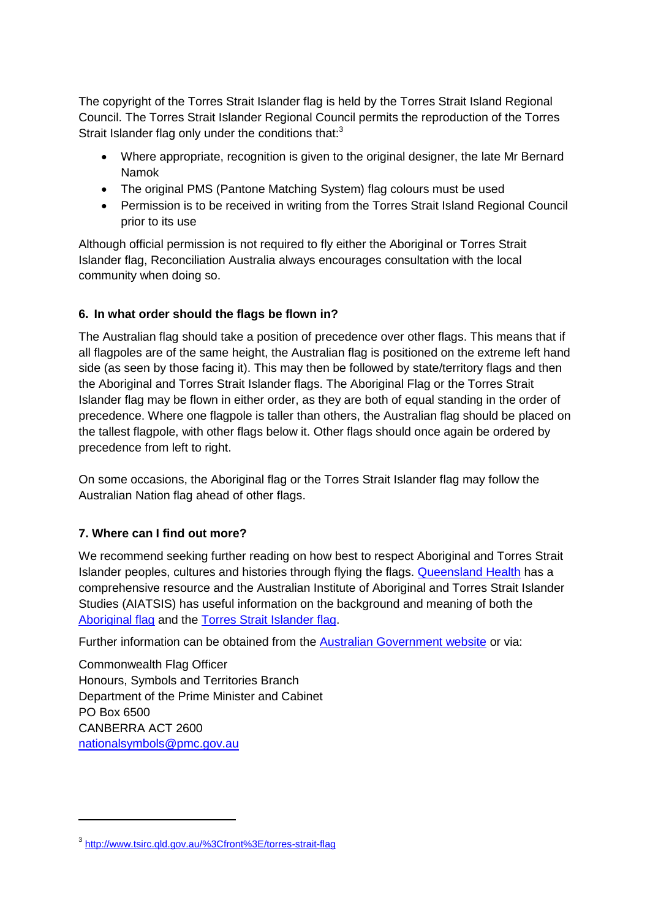The copyright of the Torres Strait Islander flag is held by the Torres Strait Island Regional Council. The Torres Strait Islander Regional Council permits the reproduction of the Torres Strait Islander flag only under the conditions that:<sup>3</sup>

- Where appropriate, recognition is given to the original designer, the late Mr Bernard Namok
- The original PMS (Pantone Matching System) flag colours must be used
- Permission is to be received in writing from the Torres Strait Island Regional Council prior to its use

Although official permission is not required to fly either the Aboriginal or Torres Strait Islander flag, Reconciliation Australia always encourages consultation with the local community when doing so.

## **6. In what order should the flags be flown in?**

The Australian flag should take a position of precedence over other flags. This means that if all flagpoles are of the same height, the Australian flag is positioned on the extreme left hand side (as seen by those facing it). This may then be followed by state/territory flags and then the Aboriginal and Torres Strait Islander flags. The Aboriginal Flag or the Torres Strait Islander flag may be flown in either order, as they are both of equal standing in the order of precedence. Where one flagpole is taller than others, the Australian flag should be placed on the tallest flagpole, with other flags below it. Other flags should once again be ordered by precedence from left to right.

On some occasions, the Aboriginal flag or the Torres Strait Islander flag may follow the Australian Nation flag ahead of other flags.

## **7. Where can I find out more?**

We recommend seeking further reading on how best to respect Aboriginal and Torres Strait Islander peoples, cultures and histories through flying the flags. [Queensland Health](https://www.health.qld.gov.au/atsihealth/documents/flying_flags.pdf) has a comprehensive resource and the Australian Institute of Aboriginal and Torres Strait Islander Studies (AIATSIS) has useful information on the background and meaning of both the [Aboriginal flag](http://aiatsis.gov.au/explore/articles/aboriginal-flag) and the [Torres Strait Islander flag.](http://aiatsis.gov.au/explore/articles/torres-strait-islander-flag)

Further information can be obtained from the [Australian Government website](https://www.itsanhonour.gov.au/symbols/otherflag.cfm) or via:

Commonwealth Flag Officer Honours, Symbols and Territories Branch Department of the Prime Minister and Cabinet PO Box 6500 CANBERRA ACT 2600 [nationalsymbols@pmc.gov.au](mailto:nationalsymbols@pmc.gov.au)

-

<sup>3</sup> <http://www.tsirc.qld.gov.au/%3Cfront%3E/torres-strait-flag>